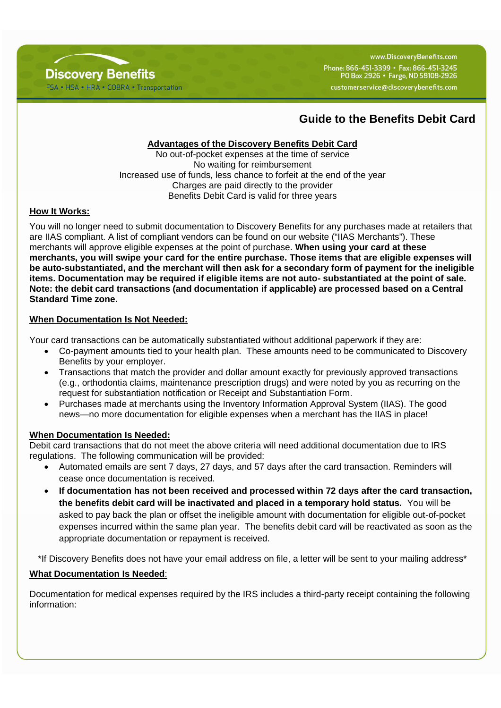

www.DiscovervBenefits.com Phone: 866-451-3399 · Fax: 866-451-3245 PO Box 2926 • Fargo, ND 58108-2926 customerservice@discoverybenefits.com

# **Guide to the Benefits Debit Card**

## **Advantages of the Discovery Benefits Debit Card**

No out-of-pocket expenses at the time of service No waiting for reimbursement Increased use of funds, less chance to forfeit at the end of the year Charges are paid directly to the provider Benefits Debit Card is valid for three years

## **How It Works:**

You will no longer need to submit documentation to Discovery Benefits for any purchases made at retailers that are IIAS compliant. A list of compliant vendors can be found on our website ("IIAS Merchants"). These merchants will approve eligible expenses at the point of purchase. **When using your card at these merchants, you will swipe your card for the entire purchase. Those items that are eligible expenses will be auto-substantiated, and the merchant will then ask for a secondary form of payment for the ineligible items. Documentation may be required if eligible items are not auto- substantiated at the point of sale. Note: the debit card transactions (and documentation if applicable) are processed based on a Central Standard Time zone.**

#### **When Documentation Is Not Needed:**

Your card transactions can be automatically substantiated without additional paperwork if they are:

- Co-payment amounts tied to your health plan. These amounts need to be communicated to Discovery Benefits by your employer.
- Transactions that match the provider and dollar amount exactly for previously approved transactions (e.g., orthodontia claims, maintenance prescription drugs) and were noted by you as recurring on the request for substantiation notification or Receipt and Substantiation Form.
- Purchases made at merchants using the Inventory Information Approval System (IIAS). The good news—no more documentation for eligible expenses when a merchant has the IIAS in place!

#### **When Documentation Is Needed:**

Debit card transactions that do not meet the above criteria will need additional documentation due to IRS regulations. The following communication will be provided:

- Automated emails are sent 7 days, 27 days, and 57 days after the card transaction. Reminders will cease once documentation is received.
- **If documentation has not been received and processed within 72 days after the card transaction, the benefits debit card will be inactivated and placed in a temporary hold status.** You will be asked to pay back the plan or offset the ineligible amount with documentation for eligible out-of-pocket expenses incurred within the same plan year. The benefits debit card will be reactivated as soon as the appropriate documentation or repayment is received.

\*If Discovery Benefits does not have your email address on file, a letter will be sent to your mailing address\*

## **What Documentation Is Needed**:

Documentation for medical expenses required by the IRS includes a third-party receipt containing the following information: